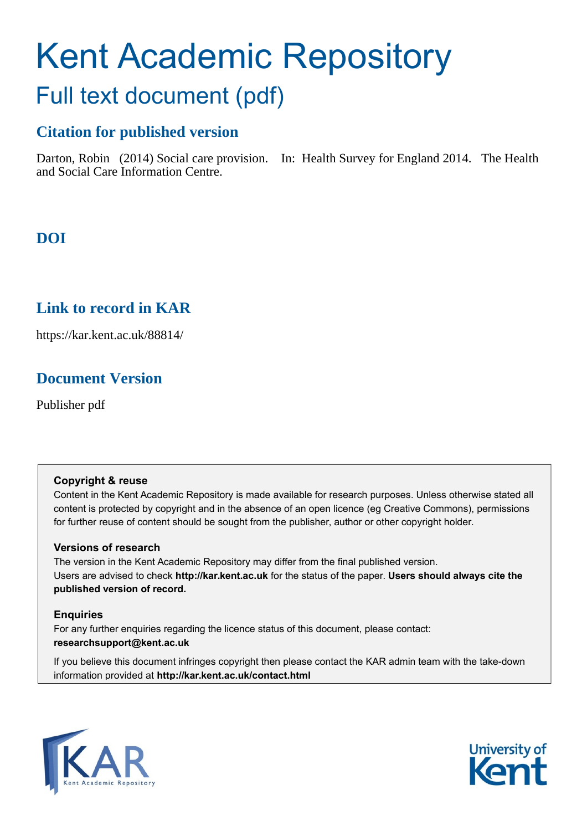# Kent Academic Repository Full text document (pdf)

## **Citation for published version**

Darton, Robin (2014) Social care provision. In: Health Survey for England 2014. The Health and Social Care Information Centre.

## **DOI**

## **Link to record in KAR**

https://kar.kent.ac.uk/88814/

## **Document Version**

Publisher pdf

### **Copyright & reuse**

Content in the Kent Academic Repository is made available for research purposes. Unless otherwise stated all content is protected by copyright and in the absence of an open licence (eg Creative Commons), permissions for further reuse of content should be sought from the publisher, author or other copyright holder.

### **Versions of research**

The version in the Kent Academic Repository may differ from the final published version. Users are advised to check **http://kar.kent.ac.uk** for the status of the paper. **Users should always cite the published version of record.**

### **Enquiries**

For any further enquiries regarding the licence status of this document, please contact: **researchsupport@kent.ac.uk**

If you believe this document infringes copyright then please contact the KAR admin team with the take-down information provided at **http://kar.kent.ac.uk/contact.html**



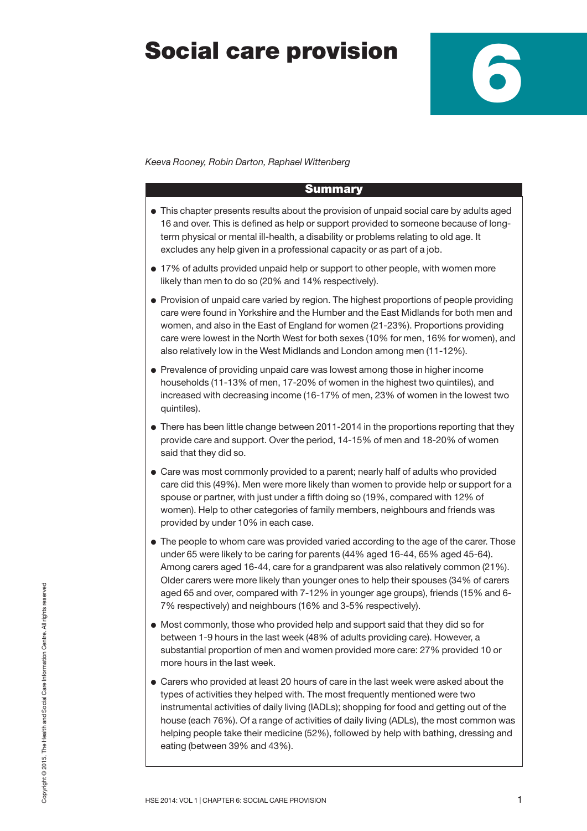## **Social care provision**



*Keeva Rooney, Robin Darton, Raphael Wittenberg*

#### **Summary**

- **●** This chapter presents results about the provision of unpaid social care by adults aged 16 and over. This is defined as help or support provided to someone because of longterm physical or mental ill-health, a disability or problems relating to old age. It excludes any help given in a professional capacity or as part of a job.
- **●** 17% of adults provided unpaid help or support to other people, with women more likely than men to do so (20% and 14% respectively).
- **●** Provision of unpaid care varied by region. The highest proportions of people providing care were found in Yorkshire and the Humber and the East Midlands for both men and women, and also in the East of England for women (21-23%). Proportions providing care were lowest in the North West for both sexes (10% for men, 16% for women), and also relatively low in the West Midlands and London among men (11-12%).
- **●** Prevalence of providing unpaid care was lowest among those in higher income households (11-13% of men, 17-20% of women in the highest two quintiles), and increased with decreasing income (16-17% of men, 23% of women in the lowest two quintiles).
- **●** There has been little change between 2011-2014 in the proportions reporting that they provide care and support. Over the period, 14-15% of men and 18-20% of women said that they did so.
- **●** Care was most commonly provided to a parent; nearly half of adults who provided care did this (49%). Men were more likely than women to provide help or support for a spouse or partner, with just under a fifth doing so (19%, compared with 12% of women). Help to other categories of family members, neighbours and friends was provided by under 10% in each case.
- **●** The people to whom care was provided varied according to the age of the carer. Those under 65 were likely to be caring for parents (44% aged 16-44, 65% aged 45-64). Among carers aged 16-44, care for a grandparent was also relatively common (21%). Older carers were more likely than younger ones to help their spouses (34% of carers aged 65 and over, compared with 7-12% in younger age groups), friends (15% and 6- 7% respectively) and neighbours (16% and 3-5% respectively).
- **●** Most commonly, those who provided help and support said that they did so for between 1-9 hours in the last week (48% of adults providing care). However, a substantial proportion of men and women provided more care: 27% provided 10 or more hours in the last week.
- **●** Carers who provided at least 20 hours of care in the last week were asked about the types of activities they helped with. The most frequently mentioned were two instrumental activities of daily living (IADLs); shopping for food and getting out of the house (each 76%). Of a range of activities of daily living (ADLs), the most common was helping people take their medicine (52%), followed by help with bathing, dressing and eating (between 39% and 43%).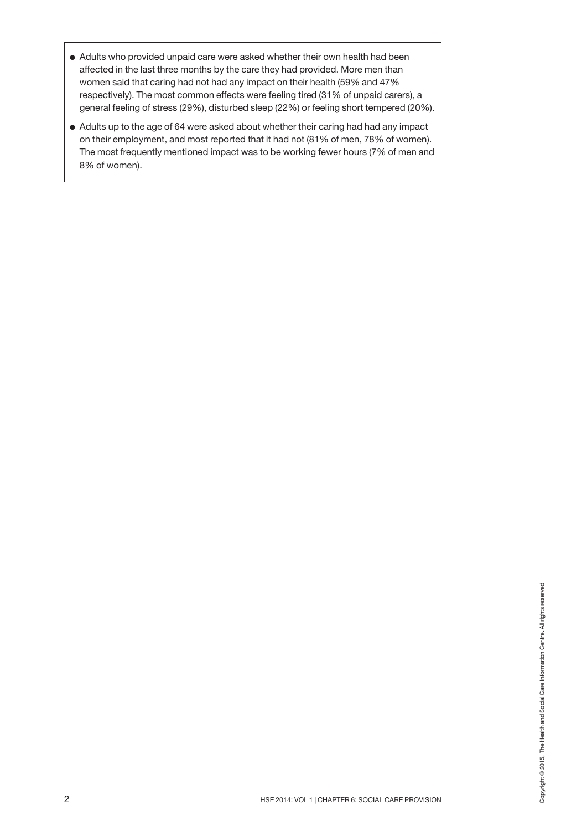- **●** Adults who provided unpaid care were asked whether their own health had been affected in the last three months by the care they had provided. More men than women said that caring had not had any impact on their health (59% and 47% respectively). The most common effects were feeling tired (31% of unpaid carers), a general feeling of stress (29%), disturbed sleep (22%) or feeling short tempered (20%).
- **●** Adults up to the age of 64 were asked about whether their caring had had any impact on their employment, and most reported that it had not (81% of men, 78% of women). The most frequently mentioned impact was to be working fewer hours (7% of men and 8% of women).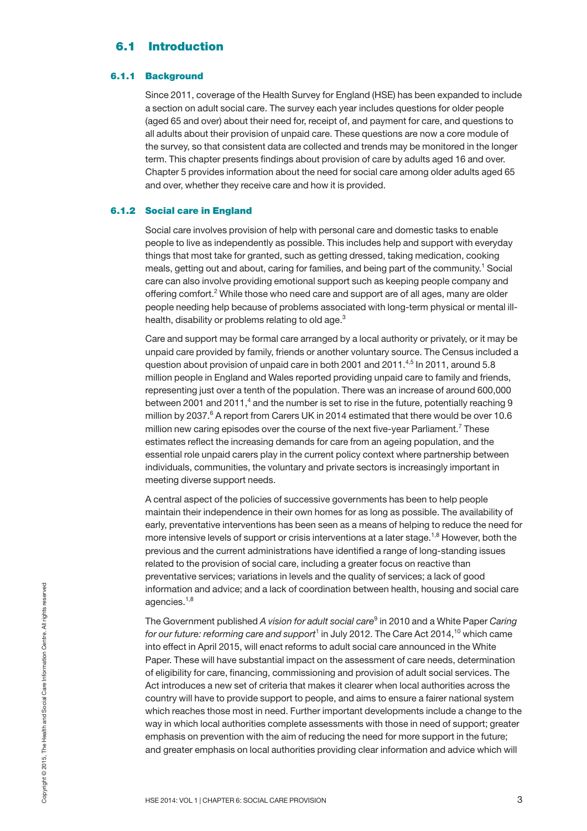## **6.1 Introduction**

#### **6.1.1 Background**

Since 2011, coverage of the Health Survey for England (HSE) has been expanded to include a section on adult social care. The survey each year includes questions for older people (aged 65 and over) about their need for, receipt of, and payment for care, and questions to all adults about their provision of unpaid care. These questions are now a core module of the survey, so that consistent data are collected and trends may be monitored in the longer term. This chapter presents findings about provision of care by adults aged 16 and over. Chapter 5 provides information about the need for social care among older adults aged 65 and over, whether they receive care and how it is provided.

#### **6.1.2 Social care in England**

Social care involves provision of help with personal care and domestic tasks to enable people to live as independently as possible. This includes help and support with everyday things that most take for granted, such as getting dressed, taking medication, cooking meals, getting out and about, caring for families, and being part of the community.<sup>1</sup> Social care can also involve providing emotional support such as keeping people company and offering comfort.<sup>2</sup> While those who need care and support are of all ages, many are older people needing help because of problems associated with long-term physical or mental illhealth, disability or problems relating to old age.<sup>3</sup>

Care and support may be formal care arranged by a local authority or privately, or it may be unpaid care provided by family, friends or another voluntary source. The Census included a question about provision of unpaid care in both 2001 and 2011.<sup>4,5</sup> In 2011, around 5.8 million people in England and Wales reported providing unpaid care to family and friends, representing just over a tenth of the population. There was an increase of around 600,000 between 2001 and 2011,<sup>4</sup> and the number is set to rise in the future, potentially reaching 9 million by 2037. <sup>6</sup> A report from Carers UK in 2014 estimated that there would be over 10.6 million new caring episodes over the course of the next five-year Parliament.<sup>7</sup> These estimates reflect the increasing demands for care from an ageing population, and the essential role unpaid carers play in the current policy context where partnership between individuals, communities, the voluntary and private sectors is increasingly important in meeting diverse support needs.

A central aspect of the policies of successive governments has been to help people maintain their independence in their own homes for as long as possible. The availability of early, preventative interventions has been seen as a means of helping to reduce the need for more intensive levels of support or crisis interventions at a later stage.<sup>1,8</sup> However, both the previous and the current administrations have identified a range of long-standing issues related to the provision of social care, including a greater focus on reactive than preventative services; variations in levels and the quality of services; a lack of good information and advice; and a lack of coordination between health, housing and social care agencies.<sup>1,8</sup>

information and advice; and a lack of coordination between health, housing and social care<br>agencies.<sup>1.8</sup><br>The Government published *A vision for adult social care*<sup>9</sup> in 2010 and a White Paper Caring<br>for our future: reform The Government published *A vision for adult social care*<sup>9</sup> in 2010 and a White Paper *Caring for our future: reforming care and support* <sup>1</sup> in July 2012. The Care Act 2014, <sup>10</sup> which came into effect in April 2015, will enact reforms to adult social care announced in the White Paper. These will have substantial impact on the assessment of care needs, determination of eligibility for care, financing, commissioning and provision of adult social services. The Act introduces a new set of criteria that makes it clearer when local authorities across the country will have to provide support to people, and aims to ensure a fairer national system which reaches those most in need. Further important developments include a change to the way in which local authorities complete assessments with those in need of support; greater emphasis on prevention with the aim of reducing the need for more support in the future; and greater emphasis on local authorities providing clear information and advice which will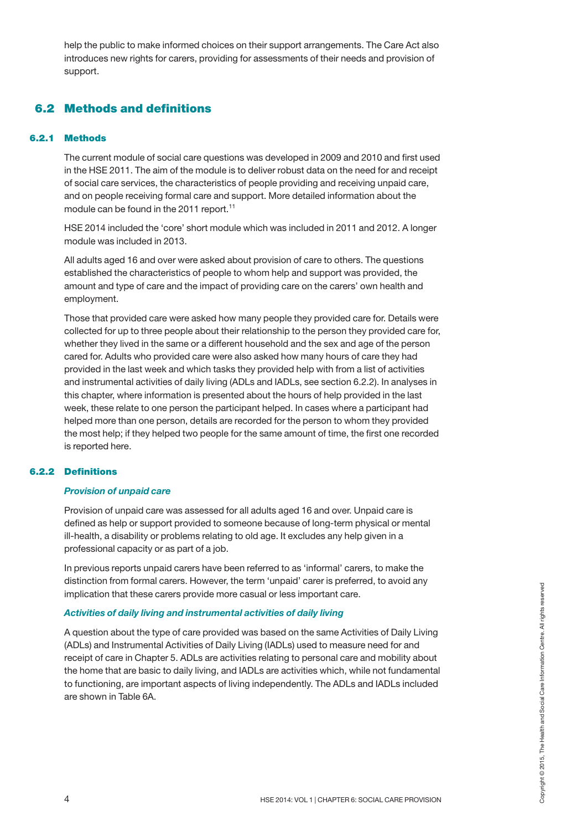help the public to make informed choices on their support arrangements. The Care Act also introduces new rights for carers, providing for assessments of their needs and provision of support.

### **6.2 Methods and definitions**

#### **6.2.1 Methods**

The current module of social care questions was developed in 2009 and 2010 and first used in the HSE 2011. The aim of the module is to deliver robust data on the need for and receipt of social care services, the characteristics of people providing and receiving unpaid care, and on people receiving formal care and support. More detailed information about the module can be found in the 2011 report. 11

HSE 2014 included the 'core' short module which was included in 2011 and 2012. A longer module was included in 2013.

All adults aged 16 and over were asked about provision of care to others. The questions established the characteristics of people to whom help and support was provided, the amount and type of care and the impact of providing care on the carers' own health and employment.

Those that provided care were asked how many people they provided care for. Details were collected for up to three people about their relationship to the person they provided care for, whether they lived in the same or a different household and the sex and age of the person cared for. Adults who provided care were also asked how many hours of care they had provided in the last week and which tasks they provided help with from a list of activities and instrumental activities of daily living (ADLs and IADLs, see section 6.2.2). In analyses in this chapter, where information is presented about the hours of help provided in the last week, these relate to one person the participant helped. In cases where a participant had helped more than one person, details are recorded for the person to whom they provided the most help; if they helped two people for the same amount of time, the first one recorded is reported here.

#### **6.2.2 Definitions**

#### *Provision of unpaid care*

Provision of unpaid care was assessed for all adults aged 16 and over. Unpaid care is defined as help or support provided to someone because of long-term physical or mental ill-health, a disability or problems relating to old age. It excludes any help given in a professional capacity or as part of a job.

In previous reports unpaid carers have been referred to as 'informal' carers, to make the distinction from formal carers. However, the term 'unpaid' carer is preferred, to avoid any implication that these carers provide more casual or less important care.

#### *Activities of daily living and instrumental activities of daily living*

A question about the type of care provided was based on the same Activities of Daily Living (ADLs) and Instrumental Activities of Daily Living (IADLs) used to measure need for and receipt of care in Chapter 5. ADLs are activities relating to personal care and mobility about the home that are basic to daily living, and IADLs are activities which, while not fundamental to functioning, are important aspects of living independently. The ADLs and IADLs included are shown in Table 6A. Activities of daily living and instrumental activities of daily living<br>
Activities of daily living and instrumental activities of daily living<br>
Aquestion about the type of care provided was based on the same Activities of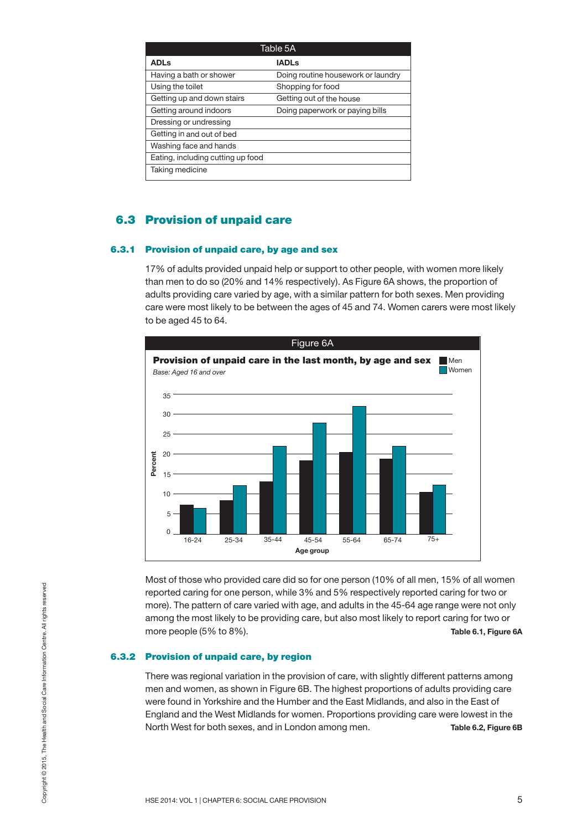| Table 5A                          |                                    |
|-----------------------------------|------------------------------------|
| <b>ADLs</b>                       | <b>IADLs</b>                       |
| Having a bath or shower           | Doing routine housework or laundry |
| Using the toilet                  | Shopping for food                  |
| Getting up and down stairs        | Getting out of the house           |
| Getting around indoors            | Doing paperwork or paying bills    |
| Dressing or undressing            |                                    |
| Getting in and out of bed         |                                    |
| Washing face and hands            |                                    |
| Eating, including cutting up food |                                    |
| Taking medicine                   |                                    |

### **6.3 Provision of unpaid care**

#### **6.3.1 Provision of unpaid care, by age and sex**

17% of adults provided unpaid help or support to other people, with women more likely than men to do so (20% and 14% respectively). As Figure 6A shows, the proportion of adults providing care varied by age, with a similar pattern for both sexes. Men providing care were most likely to be between the ages of 45 and 74. Women carers were most likely to be aged 45 to 64.



Most of those who provided care did so for one person (10% of all men, 15% of all women reported caring for one person, while 3% and 5% respectively reported caring for two or more). The pattern of care varied with age, and adults in the 45-64 age range were not only among the most likely to be providing care, but also most likely to report caring for two or more people (5% to 8%). **Table 6.1, Figure 6A**

#### **6.3.2 Provision of unpaid care, by region**

There was regional variation in the provision of care, with slightly different patterns among men and women, as shown in Figure 6B. The highest proportions of adults providing care were found in Yorkshire and the Humber and the East Midlands, and also in the East of England and the West Midlands for women. Proportions providing care were lowest in the North West for both sexes, and in London among men. **Table 6.2, Figure 6B** For the part of the person, while 3% and 5% respectively reported caring for two or<br>more). The pattern of care varied with age, and adults in the 45-64 age range were not only<br>among the most likely to be providing care, bu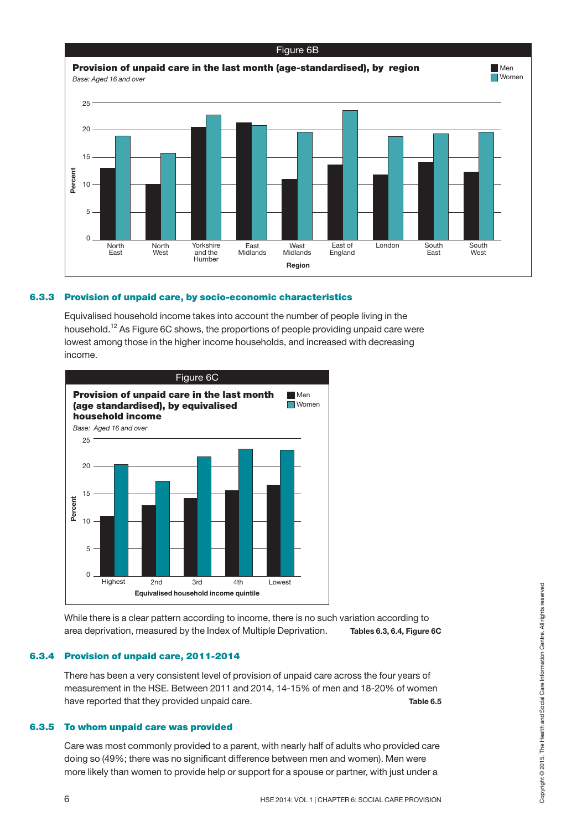

#### **6.3.3 Provision of unpaid care, by socio-economic characteristics**

Equivalised household income takes into account the number of people living in the household.<sup>12</sup> As Figure 6C shows, the proportions of people providing unpaid care were lowest among those in the higher income households, and increased with decreasing income.



While there is a clear pattern according to income, there is no such variation according to area deprivation, measured by the Index of Multiple Deprivation. **Tables 6.3, 6.4, Figure 6C**

#### **6.3.4 Provision of unpaid care, 2011-2014**

There has been a very consistent level of provision of unpaid care across the four years of measurement in the HSE. Between 2011 and 2014, 14-15% of men and 18-20% of women have reported that they provided unpaid care. **Table 6.5** Equivalised household income quintile<br>
Equivalised household income, there is no such variation according to<br>
area deprivation, measured by the Index of Multiple Deprivation. Tables 6.3, 6.4, Figure 6C<br> **Provision of unpai** 

#### **6.3.5 To whom unpaid care was provided**

Care was most commonly provided to a parent, with nearly half of adults who provided care doing so (49%; there was no significant difference between men and women). Men were more likely than women to provide help or support for a spouse or partner, with just under a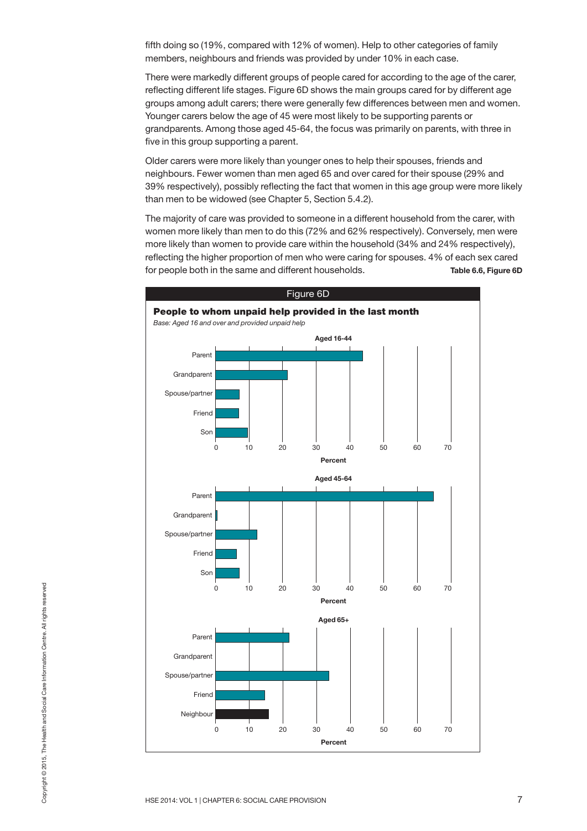fifth doing so (19%, compared with 12% of women). Help to other categories of family members, neighbours and friends was provided by under 10% in each case.

There were markedly different groups of people cared for according to the age of the carer, reflecting different life stages. Figure 6D shows the main groups cared for by different age groups among adult carers; there were generally few differences between men and women. Younger carers below the age of 45 were most likely to be supporting parents or grandparents. Among those aged 45-64, the focus was primarily on parents, with three in five in this group supporting a parent.

Older carers were more likely than younger ones to help their spouses, friends and neighbours. Fewer women than men aged 65 and over cared for their spouse (29% and 39% respectively), possibly reflecting the fact that women in this age group were more likely than men to be widowed (see Chapter 5, Section 5.4.2).

The majority of care was provided to someone in a different household from the carer, with women more likely than men to do this (72% and 62% respectively). Conversely, men were more likely than women to provide care within the household (34% and 24% respectively), reflecting the higher proportion of men who were caring for spouses. 4% of each sex cared for people both in the same and different households. **Table 6.6, Figure 6D**

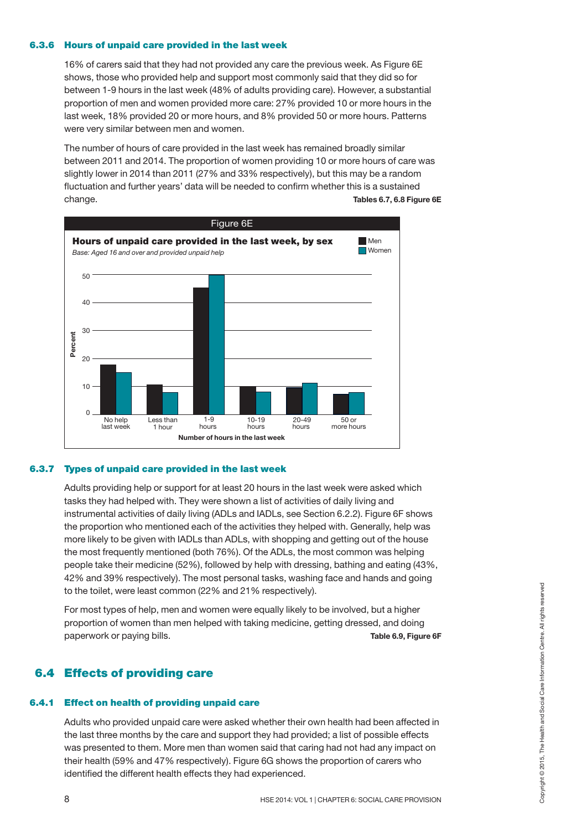#### **6.3.6 Hours of unpaid care provided in the last week**

16% of carers said that they had not provided any care the previous week. As Figure 6E shows, those who provided help and support most commonly said that they did so for between 1-9 hours in the last week (48% of adults providing care). However, a substantial proportion of men and women provided more care: 27% provided 10 or more hours in the last week, 18% provided 20 or more hours, and 8% provided 50 or more hours. Patterns were very similar between men and women.

The number of hours of care provided in the last week has remained broadly similar between 2011 and 2014. The proportion of women providing 10 or more hours of care was slightly lower in 2014 than 2011 (27% and 33% respectively), but this may be a random fluctuation and further years' data will be needed to confirm whether this is a sustained change. **Tables 6.7, 6.8 Figure 6E**



#### **6.3.7 Types of unpaid care provided in the last week**

Adults providing help or support for at least 20 hours in the last week were asked which tasks they had helped with. They were shown a list of activities of daily living and instrumental activities of daily living (ADLs and IADLs, see Section 6.2.2). Figure 6F shows the proportion who mentioned each of the activities they helped with. Generally, help was more likely to be given with IADLs than ADLs, with shopping and getting out of the house the most frequently mentioned (both 76%). Of the ADLs, the most common was helping people take their medicine (52%), followed by help with dressing, bathing and eating (43%, 42% and 39% respectively). The most personal tasks, washing face and hands and going to the toilet, were least common (22% and 21% respectively).

For most types of help, men and women were equally likely to be involved, but a higher proportion of women than men helped with taking medicine, getting dressed, and doing paperwork or paying bills. **Table 6.9, Figure 6F**

## **6.4 Effects of providing care**

#### **6.4.1 Effect on health of providing unpaid care**

Adults who provided unpaid care were asked whether their own health had been affected in the last three months by the care and support they had provided; a list of possible effects was presented to them. More men than women said that caring had not had any impact on their health (59% and 47% respectively). Figure 6G shows the proportion of carers who identified the different health effects they had experienced. 8 HSE 2014: Were least common (22% and 21% respectively).<br>
For most types of help, men and women were equally likely to be involved, but a higher<br>
proportion of women than men helped with taking medicine, getting dressed,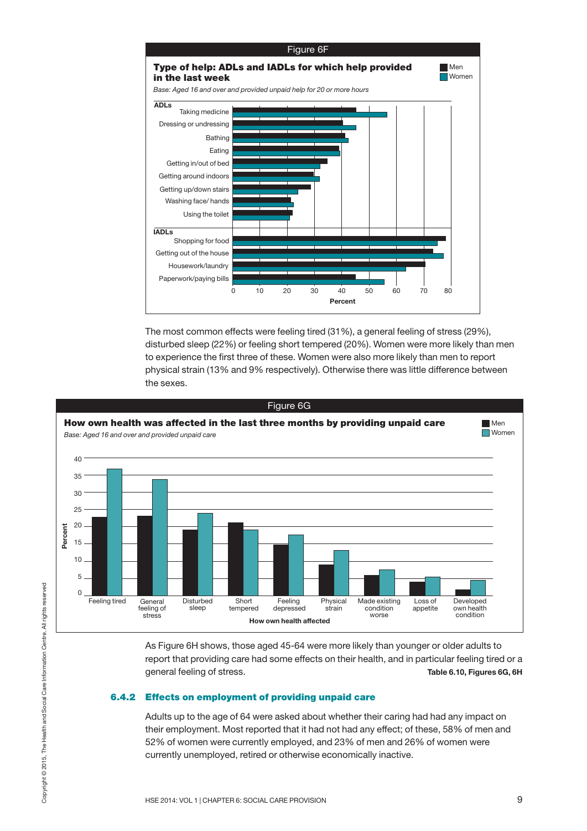

The most common effects were feeling tired (31%), a general feeling of stress (29%), disturbed sleep (22%) or feeling short tempered (20%). Women were more likely than men to experience the first three of these. Women were also more likely than men to report physical strain (13% and 9% respectively). Otherwise there was little difference between the sexes.



As Figure 6H shows, those aged 45-64 were more likely than younger or older adults to report that providing care had some effects on their health, and in particular feeling tired or a general feeling of stress. **Table 6.10, Figures 6G, 6H**

#### **6.4.2 Effects on employment of providing unpaid care**

Adults up to the age of 64 were asked about whether their caring had had any impact on their employment. Most reported that it had not had any effect; of these, 58% of men and 52% of women were currently employed, and 23% of men and 26% of women were currently unemployed, retired or otherwise economically inactive.

 $\circ$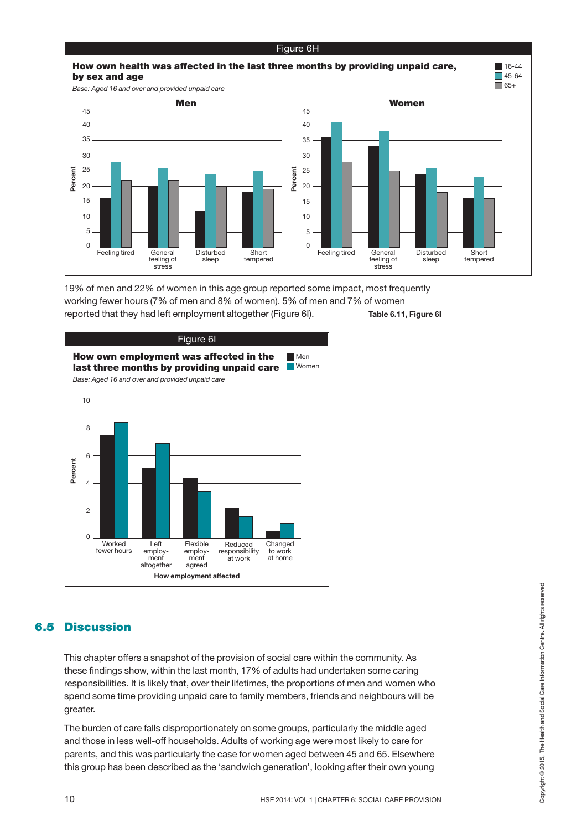

19% of men and 22% of women in this age group reported some impact, most frequently working fewer hours (7% of men and 8% of women). 5% of men and 7% of women reported that they had left employment altogether (Figure 6I). **Table 6.11, Figure 6I**



## **6.5 Discussion**

This chapter offers a snapshot of the provision of social care within the community. As these findings show, within the last month, 17% of adults had undertaken some caring responsibilities. It is likely that, over their lifetimes, the proportions of men and women who spend some time providing unpaid care to family members, friends and neighbours will be greater. **Discussion**<br>
This chapter offers a snapshot of the provision of social care within the community. As<br>
these findings show, within the last month, 17% of adults had undertaken some caring<br>
responsibilities. It is likely t

The burden of care falls disproportionately on some groups, particularly the middle aged and those in less well-off households. Adults of working age were most likely to care for parents, and this was particularly the case for women aged between 45 and 65. Elsewhere this group has been described as the 'sandwich generation', looking after their own young